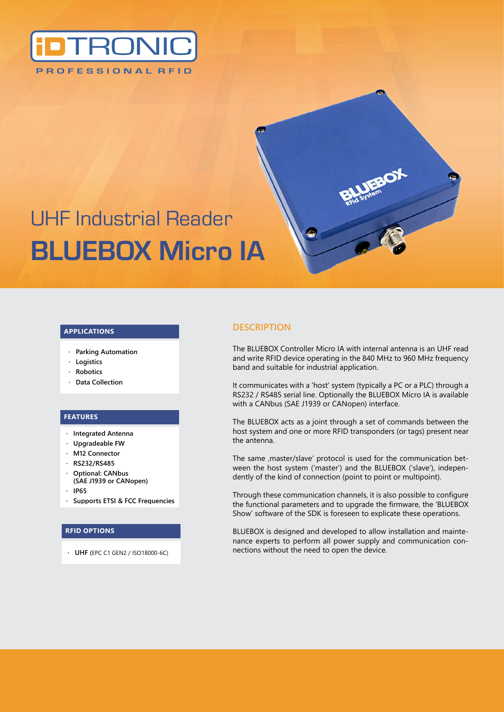

# UHF Industrial Reader **BLUEBOX Micro IA**

#### **Applications**

- **· Parking Automation**
- **· Logistics**
- **· Robotics**
- **· Data Collection**

#### **Features**

- **· Integrated Antenna**
- **· Upgradeable FW**
- **· M12 Connector**
- **· RS232/RS485**
- **· Optional: CANbus (SAE J1939 or CANopen)**
- **· IP65**
- **· Supports ETSI & FCC Frequencies**

#### **RFID Options**

**· UHF (**EPC C1 GEN2 / ISO18000-6C)

### **DESCRIPTION**

The BLUEBOX Controller Micro IA with internal antenna is an UHF read and write RFID device operating in the 840 MHz to 960 MHz frequency band and suitable for industrial application.

It communicates with a 'host' system (typically a PC or a PLC) through a RS232 / RS485 serial line. Optionally the BLUEBOX Micro IA is available with a CANbus (SAE J1939 or CANopen) interface.

The BLUEBOX acts as a joint through a set of commands between the host system and one or more RFID transponders (or tags) present near the antenna.

The same , master/slave' protocol is used for the communication between the host system ('master') and the BLUEBOX ('slave'), independently of the kind of connection (point to point or multipoint).

Through these communication channels, it is also possible to configure the functional parameters and to upgrade the firmware, the 'BLUEBOX Show' software of the SDK is foreseen to explicate these operations.

BLUEBOX is designed and developed to allow installation and maintenance experts to perform all power supply and communication connections without the need to open the device.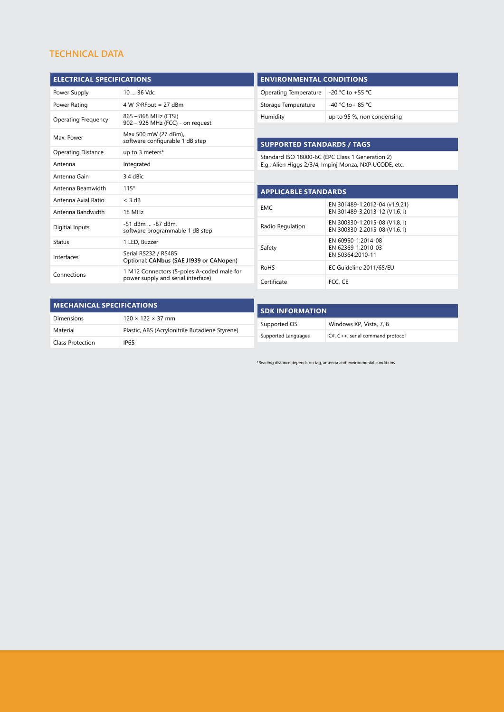# **TECHNICAL DATA**

| <b>ELECTRICAL SPECIFICATIONS</b> |            |
|----------------------------------|------------|
| Power Supply                     | 10  36 Vdc |
|                                  |            |

| Power Rating              | $4 W @$ RFout = 27 dBm                                                           |
|---------------------------|----------------------------------------------------------------------------------|
| Operating Frequency       | 865 - 868 MHz (ETSI)<br>902 - 928 MHz (FCC) - on request                         |
| Max. Power                | Max 500 mW (27 dBm),<br>software configurable 1 dB step                          |
| <b>Operating Distance</b> | up to 3 meters*                                                                  |
| Antenna                   | Integrated                                                                       |
| Antenna Gain              | 3.4 dBic                                                                         |
| Antenna Beamwidth         | 115°                                                                             |
| Antenna Axial Ratio       | $<$ 3 dB                                                                         |
| Antenna Bandwidth         | 18 MHz                                                                           |
| Digitial Inputs           | -51 dBm  -87 dBm.<br>software programmable 1 dB step                             |
| Status                    | 1 LED, Buzzer                                                                    |
| Interfaces                | Serial RS232 / RS485<br>Optional: CANbus (SAE J1939 or CANopen)                  |
| Connections               | 1 M12 Connectors (5-poles A-coded male for<br>power supply and serial interface) |
|                           |                                                                                  |

| <b>ENVIRONMENTAL CONDITIONS</b> |                            |
|---------------------------------|----------------------------|
| Operating Temperature           | $-20$ °C to +55 °C         |
| Storage Temperature             | $-40$ °C to + 85 °C        |
| Humidity                        | up to 95 %, non condensing |

## **Supported Standards / Tags**

Standard ISO 18000-6C (EPC Class 1 Generation 2) E.g.: Alien Higgs 2/3/4, Impinj Monza, NXP UCODE, etc.

| <b>APPLICABLE STANDARDS</b> |                                                               |  |
|-----------------------------|---------------------------------------------------------------|--|
| EMC.                        | EN 301489-1:2012-04 (v1.9.21)<br>EN 301489-3:2013-12 (V1.6.1) |  |
| Radio Regulation            | EN 300330-1:2015-08 (V1.8.1)<br>EN 300330-2:2015-08 (V1.6.1)  |  |
| Safety                      | EN 60950-1:2014-08<br>EN 62369-1:2010-03<br>EN 50364:2010-11  |  |
| <b>ROHS</b>                 | EC Guideline 2011/65/EU                                       |  |
| Certificate                 | FCC. CE                                                       |  |

| <b>MECHANICAL SPECIFICATIONS</b> |                                                |  |
|----------------------------------|------------------------------------------------|--|
| Dimensions                       | $120 \times 122 \times 37$ mm                  |  |
| Material                         | Plastic, ABS (Acrylonitrile Butadiene Styrene) |  |
| <b>Class Protection</b>          | IP65                                           |  |

| <b>SDK INFORMATION</b> |                                    |  |
|------------------------|------------------------------------|--|
| Supported OS           | Windows XP, Vista, 7, 8            |  |
| Supported Languages    | $C#, C++,$ serial command protocol |  |

\*Reading distance depends on tag, antenna and environmental conditions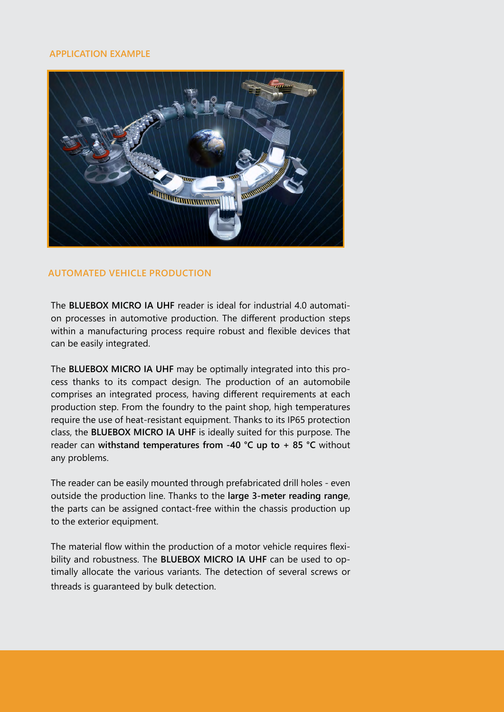## **APPLICATION EXAMPLE**



# **Automated Vehicle Production**

The **BLUEBOX MICRO IA UHF** reader is ideal for industrial 4.0 automation processes in automotive production. The different production steps within a manufacturing process require robust and flexible devices that can be easily integrated.

The **BLUEBOX MICRO IA UHF** may be optimally integrated into this process thanks to its compact design. The production of an automobile comprises an integrated process, having different requirements at each production step. From the foundry to the paint shop, high temperatures require the use of heat-resistant equipment. Thanks to its IP65 protection class, the **BLUEBOX MICRO IA UHF** is ideally suited for this purpose. The reader can **withstand temperatures from -40 °C up to + 85 °C** without any problems.

The reader can be easily mounted through prefabricated drill holes - even outside the production line. Thanks to the **large 3-meter reading range**, the parts can be assigned contact-free within the chassis production up to the exterior equipment.

The material flow within the production of a motor vehicle requires flexibility and robustness. The **BLUEBOX MICRO IA UHF** can be used to optimally allocate the various variants. The detection of several screws or threads is guaranteed by bulk detection.